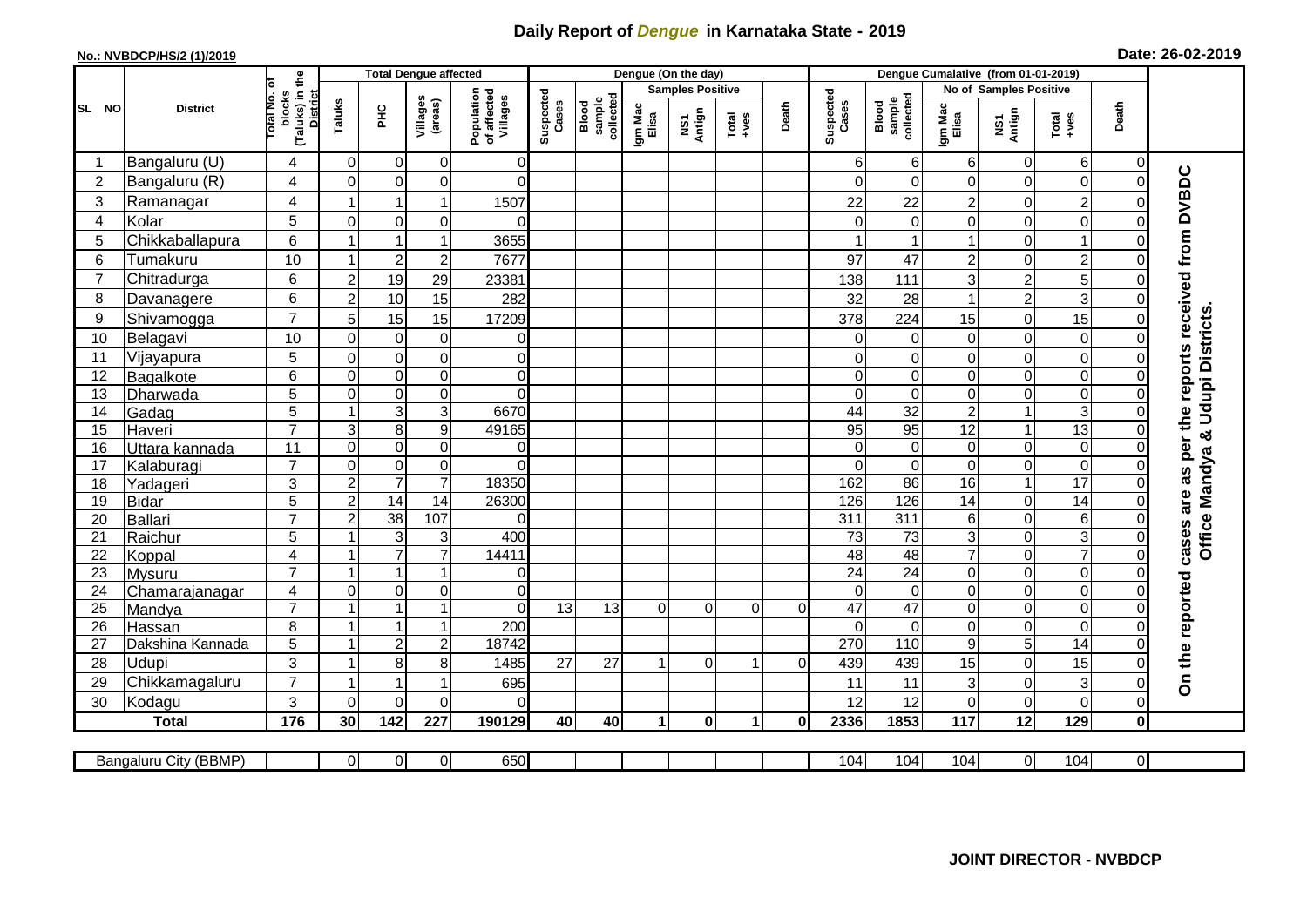## **Daily Report of** *Dengue* **in Karnataka State - 2019**

## **No.: NVBDCP/HS/2 (1)/2019 Date: 26-02-2019**

|                |                            |                                                       |                         | <b>Total Dengue affected</b>          |                     |                                       |                    |                              |                         | Dengue (On the day) |                      |          |                             |                              |                  |                                      |                               |                |                                        |
|----------------|----------------------------|-------------------------------------------------------|-------------------------|---------------------------------------|---------------------|---------------------------------------|--------------------|------------------------------|-------------------------|---------------------|----------------------|----------|-----------------------------|------------------------------|------------------|--------------------------------------|-------------------------------|----------------|----------------------------------------|
|                | <b>District</b>            |                                                       |                         |                                       |                     |                                       |                    |                              | <b>Samples Positive</b> |                     |                      |          |                             |                              |                  | No of Samples Positive               |                               |                |                                        |
| SL NO          |                            | (Taluks) in the<br>District<br>lotal No. of<br>blocks | Taluks                  | $rac{C}{\pi}$                         | Villages<br>(areas) | Population<br>of affected<br>Villages | Suspected<br>Cases | sample<br>collected<br>Blood | Igm Mac<br>Elisa        | NS1<br>Antign       | $Totael$             | Death    | Suspected<br>Cases          | Blood<br>sample<br>collected | Igm Mac<br>Elisa | NS1<br>Antign                        | Total<br>+ves                 | Death          |                                        |
|                | Bangaluru (U)              | 4                                                     | $\mathbf 0$             | $\mathbf 0$                           | 0                   | 0                                     |                    |                              |                         |                     |                      |          | 6                           | $6 \mid$                     | 6                | $\mathbf 0$                          | 6                             | $\overline{0}$ |                                        |
| $\overline{2}$ | Bangaluru (R)              | $\overline{4}$                                        | $\overline{0}$          | $\mathbf 0$                           | $\mathbf 0$         | $\Omega$                              |                    |                              |                         |                     |                      |          | ∩                           | $\Omega$                     | 0                | $\mathbf 0$                          | $\mathbf 0$                   | $\Omega$       |                                        |
| 3              | Ramanagar                  | 4                                                     |                         | 1                                     | 1                   | 1507                                  |                    |                              |                         |                     |                      |          | 22                          | 22                           | $\overline{2}$   | $\mathbf 0$                          | $\overline{2}$                | 0              | as per the reports received from DVBDC |
| $\overline{4}$ | Kolar                      | 5                                                     | $\overline{0}$          | $\mathbf 0$                           | $\overline{0}$      | $\Omega$                              |                    |                              |                         |                     |                      |          | $\Omega$                    | $\Omega$                     | 0                | $\mathbf 0$                          | $\mathbf 0$                   | 0              |                                        |
| 5              | Chikkaballapura            | 6                                                     | 1                       | $\overline{1}$                        | $\mathbf{1}$        | 3655                                  |                    |                              |                         |                     |                      |          |                             |                              | 1                | $\mathbf 0$                          | $\mathbf{1}$                  | 0              |                                        |
| 6              | Tumakuru                   | 10                                                    | $\overline{1}$          | $\boldsymbol{2}$                      | $\overline{c}$      | 7677                                  |                    |                              |                         |                     |                      |          | 97                          | 47                           | $\overline{c}$   | $\mathbf 0$                          | $\overline{2}$                | $\Omega$       |                                        |
| $\overline{7}$ | Chitradurga                | 6                                                     | $\overline{c}$          | 19                                    | 29                  | 23381                                 |                    |                              |                         |                     |                      |          | 138                         | 111                          | 3                | $\overline{c}$                       | 5                             | O              |                                        |
| 8              | Davanagere                 | 6                                                     | $\overline{c}$          | 10                                    | 15                  | 282                                   |                    |                              |                         |                     |                      |          | 32                          | 28                           | 1                | $\overline{2}$                       | 3                             | $\Omega$       |                                        |
| 9              | Shivamogga                 | $\overline{7}$                                        | 5                       | 15                                    | 15                  | 17209                                 |                    |                              |                         |                     |                      |          | 378                         | 224                          | 15               | $\mathbf 0$                          | 15                            | O              | Office Mandya & Udupi Districts        |
| 10             | Belagavi                   | 10                                                    | $\mathbf 0$             | $\mathbf 0$                           | $\pmb{0}$           | 0                                     |                    |                              |                         |                     |                      |          | $\Omega$                    | 0                            | 0                | $\mathbf 0$                          | $\mathbf 0$                   | $\Omega$       |                                        |
| 11             | Vijayapura                 | 5                                                     | $\mathbf 0$             | $\mathbf 0$                           | $\mathsf 0$         | $\overline{0}$                        |                    |                              |                         |                     |                      |          | 0                           | $\pmb{0}$                    | 0                | $\mathbf 0$                          | $\mathbf 0$                   | 0              |                                        |
| 12             | Bagalkote                  | 6                                                     | $\Omega$                | $\mathbf 0$                           | $\mathsf 0$         | $\Omega$                              |                    |                              |                         |                     |                      |          | $\Omega$                    | $\mathbf 0$                  | $\mathbf 0$      | $\mathbf 0$                          | $\mathbf 0$                   | $\Omega$       |                                        |
| 13             | Dharwada                   | $\overline{5}$                                        | $\mathbf 0$             | $\pmb{0}$                             | $\overline{0}$      | $\overline{0}$                        |                    |                              |                         |                     |                      |          | $\Omega$                    | $\boldsymbol{0}$             | $\mathsf 0$      | $\overline{0}$                       | $\overline{0}$                | $\Omega$       |                                        |
| 14             | Gadag                      | 5                                                     | $\overline{1}$          | $\mathsf 3$                           | 3                   | 6670                                  |                    |                              |                         |                     |                      |          | 44                          | $\overline{32}$              | $\overline{c}$   | $\mathbf{1}$                         | $\mathbf{3}$                  | 0              |                                        |
| 15             | Haveri                     | $\overline{7}$                                        | $\sqrt{3}$              | $\,8\,$                               | 9                   | 49165                                 |                    |                              |                         |                     |                      |          | 95                          | 95                           | $\overline{12}$  | $\mathbf{1}$                         | 13                            | $\Omega$       |                                        |
| 16             | Uttara kannada             | 11                                                    | $\mathbf 0$             | $\mathbf 0$                           | $\mathbf 0$         | 0                                     |                    |                              |                         |                     |                      |          | $\Omega$                    | 0                            | 0                | $\boldsymbol{0}$                     | $\mathbf 0$                   | 0              |                                        |
| 17             | Kalaburagi                 | $\overline{7}$                                        | $\overline{0}$          | $\mathbf 0$                           | $\overline{0}$      | $\Omega$                              |                    |                              |                         |                     |                      |          | $\Omega$                    | $\Omega$                     | $\mathbf 0$      | $\overline{0}$                       | $\overline{0}$                | 0              |                                        |
| 18             | Yadageri                   | 3                                                     | $\overline{2}$          | $\overline{7}$                        | $\overline{7}$      | 18350                                 |                    |                              |                         |                     |                      |          | 162                         | 86                           | 16               | $\mathbf{1}$                         | 17                            | O              |                                        |
| 19             | <b>Bidar</b>               | 5                                                     | $\overline{2}$          | $\overline{14}$                       | $\overline{14}$     | 26300                                 |                    |                              |                         |                     |                      |          | 126                         | 126                          | 14               | $\mathbf 0$                          | $\overline{14}$               | $\Omega$       | are                                    |
| 20             | Ballari                    | $\overline{7}$                                        | $\overline{c}$          | 38                                    | 107                 | $\mathbf 0$                           |                    |                              |                         |                     |                      |          | 311                         | 311                          | 6                | $\overline{0}$                       | $\overline{6}$                | $\Omega$       |                                        |
| 21             | Raichur                    | 5                                                     |                         | 3                                     | 3                   | 400                                   |                    |                              |                         |                     |                      |          | 73                          | 73                           | 3                | $\boldsymbol{0}$                     | $\ensuremath{\mathsf{3}}$     | 0              | cases                                  |
| 22             | Koppal                     | $\overline{4}$                                        |                         | $\overline{7}$                        | $\overline{7}$      | 14411                                 |                    |                              |                         |                     |                      |          | 48                          | 48                           | $\overline{7}$   | $\overline{0}$                       | $\overline{7}$                | $\Omega$       |                                        |
| 23             | Mysuru                     | $\overline{7}$                                        |                         |                                       | 1                   | $\overline{0}$                        |                    |                              |                         |                     |                      |          | $\overline{24}$             | $\overline{24}$              | 0                | $\boldsymbol{0}$                     | $\boldsymbol{0}$              | 0              |                                        |
| 24             | Chamarajanagar             | $\overline{4}$<br>$\overline{7}$                      | $\Omega$<br>-1          | $\mathsf{O}\xspace$<br>$\overline{1}$ | 0<br>$\mathbf{1}$   | $\Omega$<br>$\Omega$                  | 13                 | 13                           | $\Omega$                | $\overline{0}$      |                      |          | $\Omega$<br>$\overline{47}$ | $\mathbf 0$<br>47            | 0<br>0           | $\mathbf 0$                          | $\boldsymbol{0}$              | $\Omega$       |                                        |
| 25<br>26       | Mandya                     | 8                                                     | $\overline{\mathbf{A}}$ | $\overline{1}$                        | 1                   | 200                                   |                    |                              |                         |                     | $\Omega$             | $\Omega$ | $\Omega$                    | $\Omega$                     | $\mathbf 0$      | $\boldsymbol{0}$<br>$\boldsymbol{0}$ | $\overline{0}$<br>$\mathbf 0$ | $\Omega$<br>0  |                                        |
| 27             | Hassan<br>Dakshina Kannada | $\overline{5}$                                        | $\overline{1}$          | $\overline{2}$                        | $\overline{c}$      | 18742                                 |                    |                              |                         |                     |                      |          | 270                         | 110                          | 9                | $\overline{5}$                       | $\overline{14}$               | $\Omega$       |                                        |
| 28             | Udupi                      | 3                                                     |                         | 8                                     | 8                   | 1485                                  | 27                 | 27                           |                         | $\Omega$            |                      | 0        | 439                         | 439                          | 15               | $\mathbf 0$                          | 15                            |                |                                        |
| 29             | Chikkamagaluru             | $\overline{7}$                                        |                         |                                       | 1                   | 695                                   |                    |                              |                         |                     |                      |          | 11                          | 11                           | 3                | $\boldsymbol{0}$                     | $\ensuremath{\mathsf{3}}$     | 0              | On the reported                        |
| 30             | Kodagu                     | 3                                                     | $\Omega$                | $\Omega$                              | $\Omega$            | $\Omega$                              |                    |                              |                         |                     |                      |          | 12                          | 12                           | 0                | $\mathbf 0$                          | $\mathbf 0$                   | $\overline{0}$ |                                        |
|                | <b>Total</b>               | $\frac{1}{176}$                                       | 30                      | 142                                   | 227                 | 190129                                | 40                 | 40                           | $\blacktriangleleft$    | $\bf{0}$            | $\blacktriangleleft$ | 0I       | 2336                        | 1853                         | 117              | 12                                   | 129                           | $\mathbf{0}$   |                                        |
|                |                            |                                                       |                         |                                       |                     |                                       |                    |                              |                         |                     |                      |          |                             |                              |                  |                                      |                               |                |                                        |
|                | Bangaluru City (BBMP)      |                                                       | $\overline{0}$          | 0                                     | $\overline{0}$      | 650                                   |                    |                              |                         |                     |                      |          | 104                         | 104                          | 104              | $\overline{0}$                       | 104                           | $\overline{0}$ |                                        |